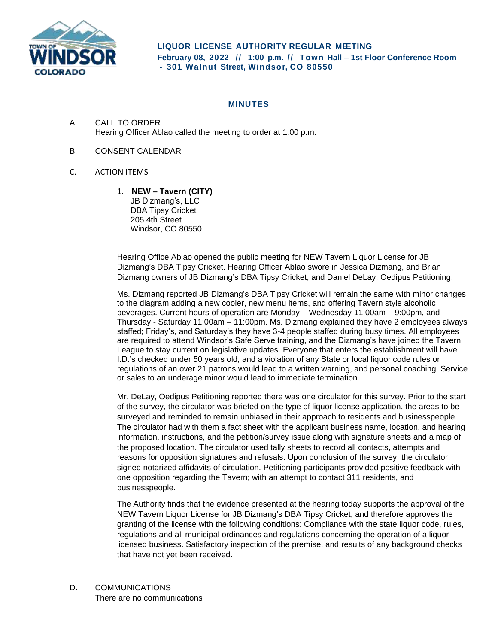

## **MINUTES**

- A. CALL TO ORDER Hearing Officer Ablao called the meeting to order at 1:00 p.m.
- B. CONSENT CALENDAR
- C. ACTION ITEMS
	- 1. **NEW – Tavern (CITY)**  JB Dizmang's, LLC DBA Tipsy Cricket 205 4th Street Windsor, CO 80550

Hearing Office Ablao opened the public meeting for NEW Tavern Liquor License for JB Dizmang's DBA Tipsy Cricket. Hearing Officer Ablao swore in Jessica Dizmang, and Brian Dizmang owners of JB Dizmang's DBA Tipsy Cricket, and Daniel DeLay, Oedipus Petitioning.

Ms. Dizmang reported JB Dizmang's DBA Tipsy Cricket will remain the same with minor changes to the diagram adding a new cooler, new menu items, and offering Tavern style alcoholic beverages. Current hours of operation are Monday – Wednesday 11:00am – 9:00pm, and Thursday - Saturday 11:00am – 11:00pm. Ms. Dizmang explained they have 2 employees always staffed; Friday's, and Saturday's they have 3-4 people staffed during busy times. All employees are required to attend Windsor's Safe Serve training, and the Dizmang's have joined the Tavern League to stay current on legislative updates. Everyone that enters the establishment will have I.D.'s checked under 50 years old, and a violation of any State or local liquor code rules or regulations of an over 21 patrons would lead to a written warning, and personal coaching. Service or sales to an underage minor would lead to immediate termination.

Mr. DeLay, Oedipus Petitioning reported there was one circulator for this survey. Prior to the start of the survey, the circulator was briefed on the type of liquor license application, the areas to be surveyed and reminded to remain unbiased in their approach to residents and businesspeople. The circulator had with them a fact sheet with the applicant business name, location, and hearing information, instructions, and the petition/survey issue along with signature sheets and a map of the proposed location. The circulator used tally sheets to record all contacts, attempts and reasons for opposition signatures and refusals. Upon conclusion of the survey, the circulator signed notarized affidavits of circulation. Petitioning participants provided positive feedback with one opposition regarding the Tavern; with an attempt to contact 311 residents, and businesspeople.

The Authority finds that the evidence presented at the hearing today supports the approval of the NEW Tavern Liquor License for JB Dizmang's DBA Tipsy Cricket, and therefore approves the granting of the license with the following conditions: Compliance with the state liquor code, rules, regulations and all municipal ordinances and regulations concerning the operation of a liquor licensed business. Satisfactory inspection of the premise, and results of any background checks that have not yet been received.

D. COMMUNICATIONS

There are no communications